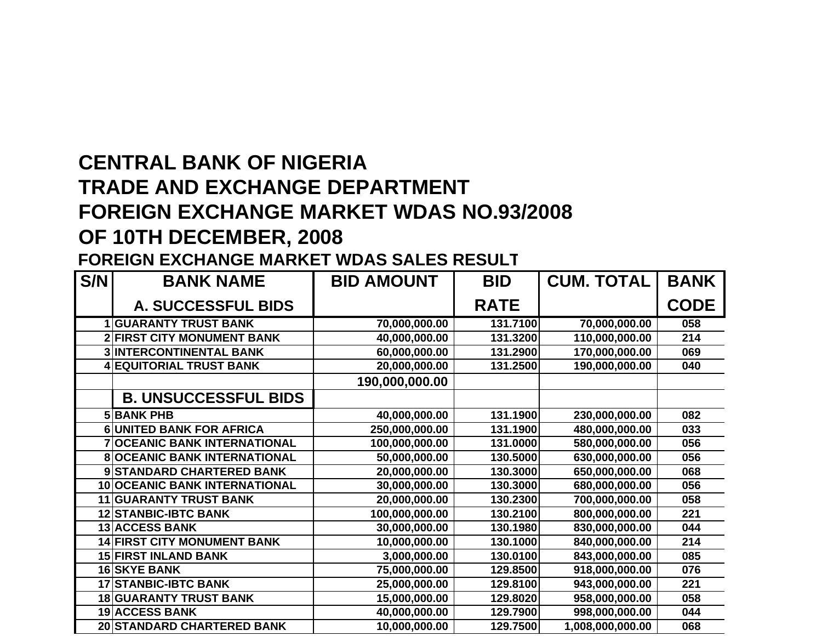## **CENTRAL BANK OF NIGERIA TRADE AND EXCHANGE DEPARTMENT FOREIGN EXCHANGE MARKET WDAS NO.93/2008 OF 10TH DECEMBER, 2008**

## **FOREIGN EXCHANGE MARKET WDAS SALES RESUL T**

| S/N | <b>BANK NAME</b>                    | <b>BID AMOUNT</b> | <b>BID</b>  | <b>CUM. TOTAL</b> | <b>BANK</b> |
|-----|-------------------------------------|-------------------|-------------|-------------------|-------------|
|     | A. SUCCESSFUL BIDS                  |                   | <b>RATE</b> |                   | <b>CODE</b> |
|     | <b>1 GUARANTY TRUST BANK</b>        | 70,000,000.00     | 131.7100    | 70,000,000.00     | 058         |
|     | <b>2 FIRST CITY MONUMENT BANK</b>   | 40,000,000.00     | 131.3200    | 110,000,000.00    | 214         |
|     | <b>3 INTERCONTINENTAL BANK</b>      | 60,000,000.00     | 131.2900    | 170,000,000.00    | 069         |
|     | <b>4 EQUITORIAL TRUST BANK</b>      | 20,000,000.00     | 131.2500    | 190,000,000.00    | 040         |
|     |                                     | 190,000,000.00    |             |                   |             |
|     | <b>B. UNSUCCESSFUL BIDS</b>         |                   |             |                   |             |
|     | <b>5 BANK PHB</b>                   | 40,000,000.00     | 131.1900    | 230,000,000.00    | 082         |
|     | <b>6 UNITED BANK FOR AFRICA</b>     | 250,000,000.00    | 131.1900    | 480,000,000.00    | 033         |
|     | <b>7 OCEANIC BANK INTERNATIONAL</b> | 100,000,000.00    | 131.0000    | 580,000,000.00    | 056         |
|     | <b>8 OCEANIC BANK INTERNATIONAL</b> | 50,000,000.00     | 130.5000    | 630,000,000.00    | 056         |
|     | 9 STANDARD CHARTERED BANK           | 20,000,000.00     | 130.3000    | 650,000,000.00    | 068         |
|     | 10 OCEANIC BANK INTERNATIONAL       | 30,000,000.00     | 130.3000    | 680,000,000.00    | 056         |
|     | 11 GUARANTY TRUST BANK              | 20,000,000.00     | 130.2300    | 700,000,000.00    | 058         |
|     | <b>12 STANBIC-IBTC BANK</b>         | 100,000,000.00    | 130.2100    | 800,000,000.00    | 221         |
|     | <b>13 ACCESS BANK</b>               | 30,000,000.00     | 130.1980    | 830,000,000.00    | 044         |
|     | <b>14 FIRST CITY MONUMENT BANK</b>  | 10,000,000.00     | 130.1000    | 840,000,000.00    | 214         |
|     | <b>15 FIRST INLAND BANK</b>         | 3,000,000.00      | 130.0100    | 843,000,000.00    | 085         |
|     | <b>16 SKYE BANK</b>                 | 75,000,000.00     | 129.8500    | 918,000,000.00    | 076         |
|     | <b>17 STANBIC-IBTC BANK</b>         | 25,000,000.00     | 129.8100    | 943,000,000.00    | 221         |
|     | <b>18 GUARANTY TRUST BANK</b>       | 15,000,000.00     | 129.8020    | 958,000,000.00    | 058         |
|     | <b>19 ACCESS BANK</b>               | 40,000,000.00     | 129.7900    | 998,000,000.00    | 044         |
|     | 20 STANDARD CHARTERED BANK          | 10,000,000.00     | 129.7500    | 1,008,000,000.00  | 068         |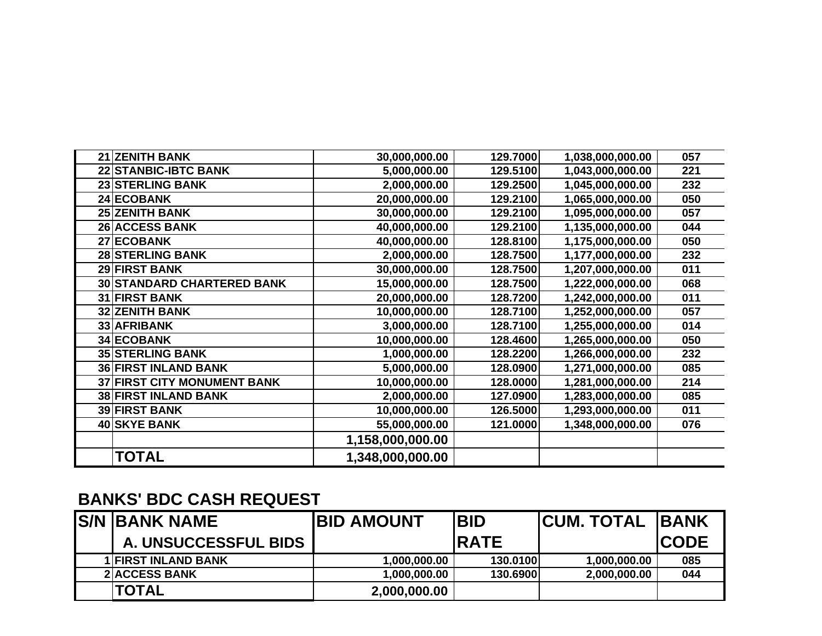| 21 ZENITH BANK                     | 30,000,000.00    | 129.7000 | 1,038,000,000.00 | 057 |
|------------------------------------|------------------|----------|------------------|-----|
| <b>22 STANBIC-IBTC BANK</b>        | 5,000,000.00     | 129.5100 | 1,043,000,000.00 | 221 |
| <b>23 STERLING BANK</b>            | 2,000,000.00     | 129.2500 | 1,045,000,000.00 | 232 |
| 24 ECOBANK                         | 20,000,000.00    | 129.2100 | 1,065,000,000.00 | 050 |
| <b>25 ZENITH BANK</b>              | 30,000,000.00    | 129.2100 | 1,095,000,000.00 | 057 |
| <b>26 ACCESS BANK</b>              | 40,000,000.00    | 129.2100 | 1,135,000,000.00 | 044 |
| 27 ECOBANK                         | 40,000,000.00    | 128.8100 | 1,175,000,000.00 | 050 |
| <b>28 STERLING BANK</b>            | 2,000,000.00     | 128.7500 | 1,177,000,000.00 | 232 |
| 29 FIRST BANK                      | 30,000,000.00    | 128.7500 | 1,207,000,000.00 | 011 |
| 30 STANDARD CHARTERED BANK         | 15,000,000.00    | 128.7500 | 1,222,000,000.00 | 068 |
| <b>31 FIRST BANK</b>               | 20,000,000.00    | 128.7200 | 1,242,000,000.00 | 011 |
| <b>32 ZENITH BANK</b>              | 10,000,000.00    | 128.7100 | 1,252,000,000.00 | 057 |
| 33 AFRIBANK                        | 3,000,000.00     | 128.7100 | 1,255,000,000.00 | 014 |
| 34 ECOBANK                         | 10,000,000.00    | 128.4600 | 1,265,000,000.00 | 050 |
| <b>35 STERLING BANK</b>            | 1,000,000.00     | 128.2200 | 1,266,000,000.00 | 232 |
| <b>36 FIRST INLAND BANK</b>        | 5,000,000.00     | 128.0900 | 1,271,000,000.00 | 085 |
| <b>37 FIRST CITY MONUMENT BANK</b> | 10,000,000.00    | 128.0000 | 1,281,000,000.00 | 214 |
| <b>38 FIRST INLAND BANK</b>        | 2,000,000.00     | 127.0900 | 1,283,000,000.00 | 085 |
| <b>39 FIRST BANK</b>               | 10,000,000.00    | 126.5000 | 1,293,000,000.00 | 011 |
| 40 SKYE BANK                       | 55,000,000.00    | 121.0000 | 1,348,000,000.00 | 076 |
|                                    | 1,158,000,000.00 |          |                  |     |
| <b>TOTAL</b>                       | 1,348,000,000.00 |          |                  |     |

## **BANKS' BDC CASH REQUES T**

| <b>S/N BANK NAME</b>        | <b>IBID AMOUNT</b> | <b>BID</b>  | <b>ICUM. TOTAL IBANK</b> |              |
|-----------------------------|--------------------|-------------|--------------------------|--------------|
| <b>A. UNSUCCESSFUL BIDS</b> |                    | <b>RATE</b> |                          | <b>ICODE</b> |
| <b>1 FIRST INLAND BANK</b>  | 1,000,000.00       | 130.0100    | 1,000,000.00             | 085          |
| <b>2IACCESS BANK</b>        | 1,000,000.00       | 130.6900    | 2,000,000.00             | 044          |
| <b>TOTAL</b>                | 2,000,000.00       |             |                          |              |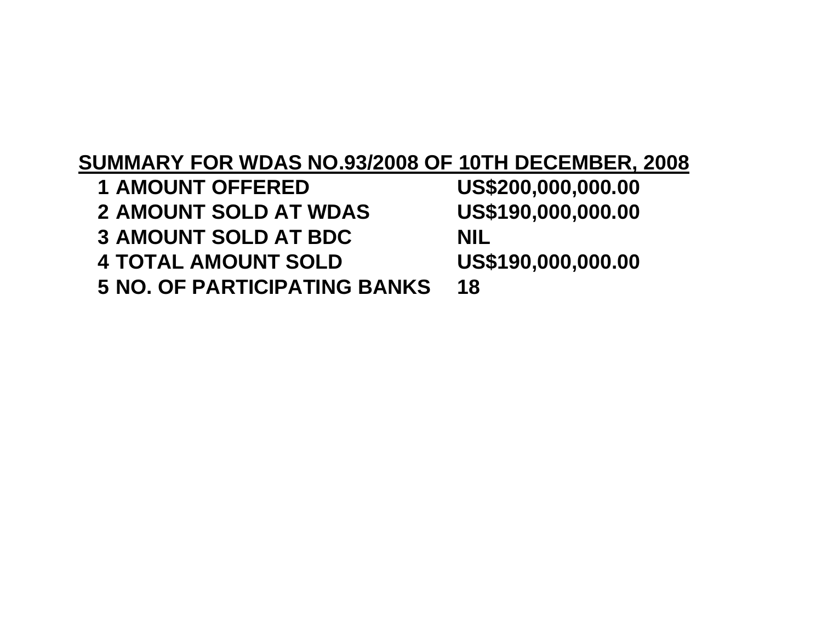## **SUMMARY FOR WDAS NO.93/2008 OF 10TH DECEMBER, 2008**

 **AMOUNT OFFERED US\$200,000,000.00 AMOUNT SOLD AT WDAS US\$190,000,000.00 AMOUNT SOLD AT BDC NIL TOTAL AMOUNT SOLD US\$190,000,000.00 NO. OF PARTICIPATING BANKS 18**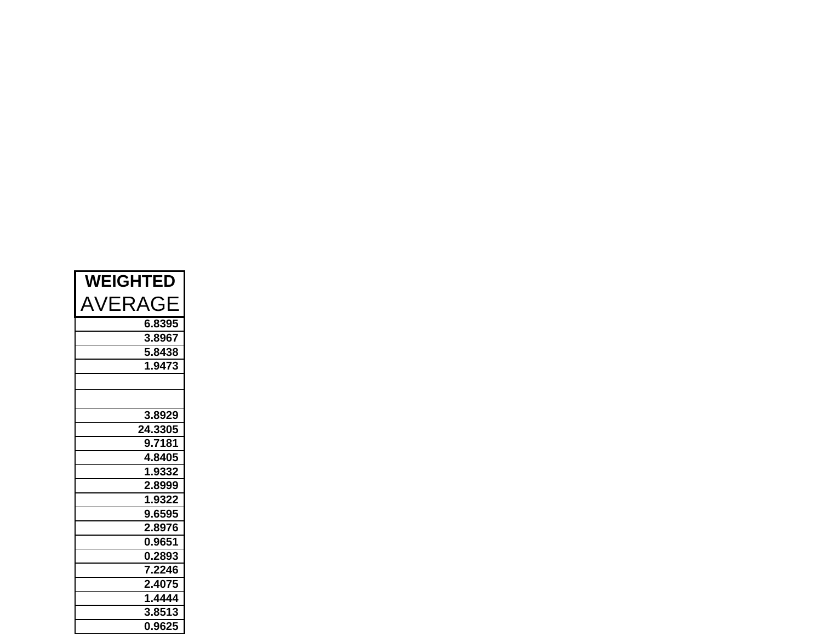| <b>WEIGHTED</b> |  |  |
|-----------------|--|--|
| AVERAGE         |  |  |
| 6.8395          |  |  |
| 3.8967          |  |  |
| 5.8438          |  |  |
| 1.9473          |  |  |
|                 |  |  |
|                 |  |  |
| 3.8929          |  |  |
| 24.3305         |  |  |
| 9.7181          |  |  |
| 4.8405          |  |  |
| 1.9332          |  |  |
| 2.8999          |  |  |
| 1.9322          |  |  |
| 9.6595          |  |  |
| 2.8976          |  |  |
| 0.9651          |  |  |
| 0.2893          |  |  |
| 7.2246          |  |  |
| 2.4075          |  |  |
| 1.4444          |  |  |
| 3.8513          |  |  |
| 0.9625          |  |  |